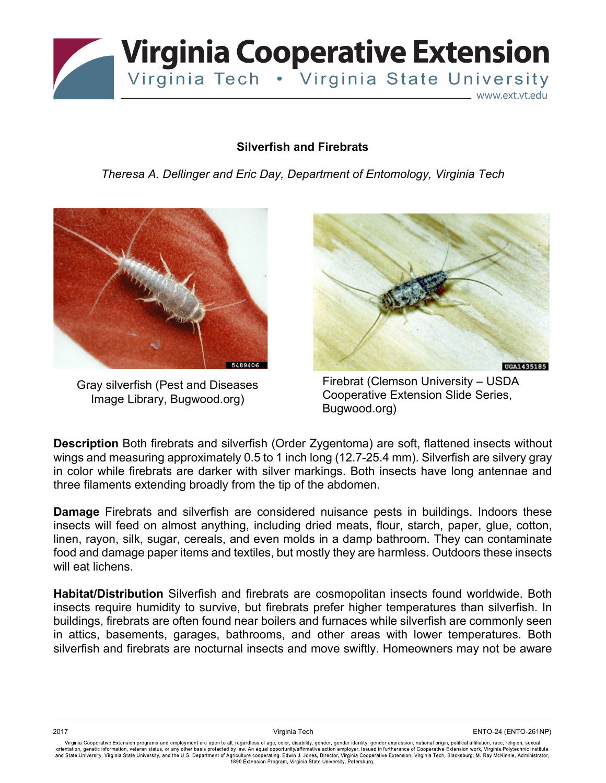

## **Silverfish and Firebrats**

*Theresa A. Dellinger and Eric Day, Department of Entomology, Virginia Tech*



Gray silverfish (Pest and Diseases Image Library, Bugwood.org)



Firebrat (Clemson University – USDA Cooperative Extension Slide Series, Bugwood.org)

**Description** Both firebrats and silverfish (Order Zygentoma) are soft, flattened insects without wings and measuring approximately 0.5 to 1 inch long (12.7-25.4 mm). Silverfish are silvery gray in color while firebrats are darker with silver markings. Both insects have long antennae and three filaments extending broadly from the tip of the abdomen.

**Damage** Firebrats and silverfish are considered nuisance pests in buildings. Indoors these insects will feed on almost anything, including dried meats, flour, starch, paper, glue, cotton, linen, rayon, silk, sugar, cereals, and even molds in a damp bathroom. They can contaminate food and damage paper items and textiles, but mostly they are harmless. Outdoors these insects will eat lichens.

**Habitat/Distribution** Silverfish and firebrats are cosmopolitan insects found worldwide. Both insects require humidity to survive, but firebrats prefer higher temperatures than silverfish. In buildings, firebrats are often found near boilers and furnaces while silverfish are commonly seen in attics, basements, garages, bathrooms, and other areas with lower temperatures. Both silverfish and firebrats are nocturnal insects and move swiftly. Homeowners may not be aware